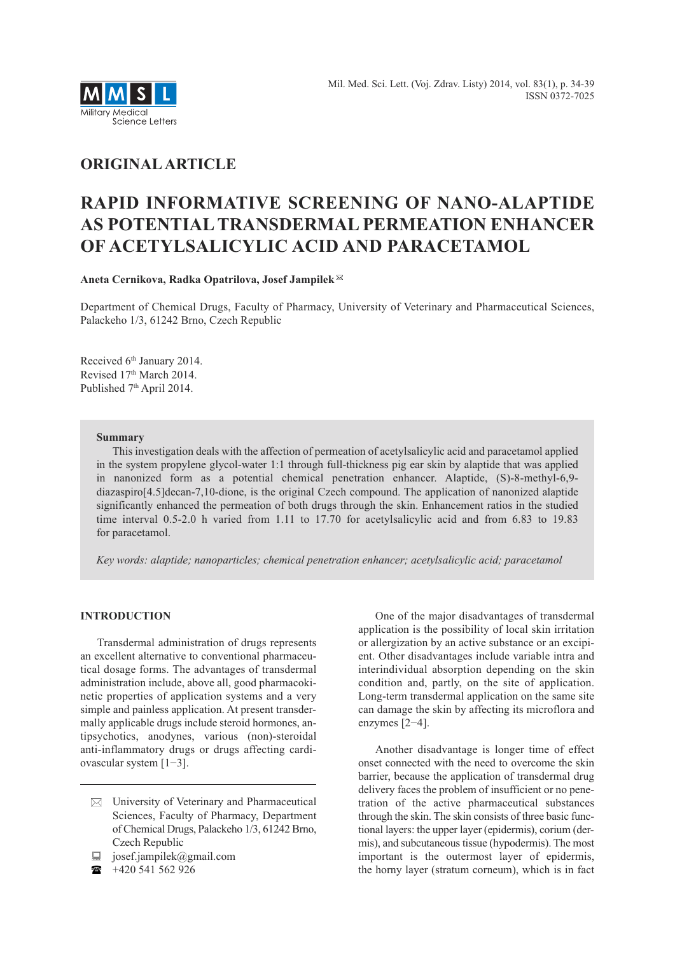

## **ORIGINALARTICLE**

# **RAPID INFORMATIVE SCREENING OF NANO-ALAPTIDE AS POTENTIALTRANSDERMAL PERMEATION ENHANCER OF ACETYLSALICYLIC ACID AND PARACETAMOL**

## **Aneta Cernikova, Radka Opatrilova, Josef Jampilek**

Department of Chemical Drugs, Faculty of Pharmacy, University of Veterinary and Pharmaceutical Sciences, Palackeho 1/3, 61242 Brno, Czech Republic

Received 6<sup>th</sup> January 2014. Revised 17<sup>th</sup> March 2014. Published 7<sup>th</sup> April 2014.

### **Summary**

This investigation deals with the affection of permeation of acetylsalicylic acid and paracetamol applied in the system propylene glycol-water 1:1 through full-thickness pig ear skin by alaptide that was applied in nanonized form as a potential chemical penetration enhancer. Alaptide, (S)-8-methyl-6,9 diazaspiro[4.5]decan-7,10-dione, is the original Czech compound. The application of nanonized alaptide significantly enhanced the permeation of both drugs through the skin. Enhancement ratios in the studied time interval 0.5-2.0 h varied from 1.11 to 17.70 for acetylsalicylic acid and from 6.83 to 19.83 for paracetamol.

*Key words: alaptide; nanoparticles; chemical penetration enhancer; acetylsalicylic acid; paracetamol*

## **INTRODUCTION**

Transdermal administration of drugs represents an excellent alternative to conventional pharmaceutical dosage forms. The advantages of transdermal administration include, above all, good pharmacokinetic properties of application systems and a very simple and painless application. At present transdermally applicable drugs include steroid hormones, antipsychotics, anodynes, various (non)-steroidal anti-inflammatory drugs or drugs affecting cardiovascular system [1−3].

 $\Box$  josef.jampilek@gmail.com

One of the major disadvantages of transdermal application is the possibility of local skin irritation or allergization by an active substance or an excipient. Other disadvantages include variable intra and interindividual absorption depending on the skin condition and, partly, on the site of application. Long-term transdermal application on the same site can damage the skin by affecting its microflora and enzymes [2−4].

Another disadvantage is longer time of effect onset connected with the need to overcome the skin barrier, because the application of transdermal drug delivery faces the problem of insufficient or no penetration of the active pharmaceutical substances through the skin. The skin consists of three basic functional layers: the upper layer (epidermis), corium (dermis), and subcutaneous tissue (hypodermis). The most important is the outermost layer of epidermis, the horny layer (stratum corneum), which is in fact

 $\boxtimes$  University of Veterinary and Pharmaceutical Sciences, Faculty of Pharmacy, Department of Chemical Drugs, Palackeho 1/3, 61242 Brno, Czech Republic

 $\bullet$  +420 541 562 926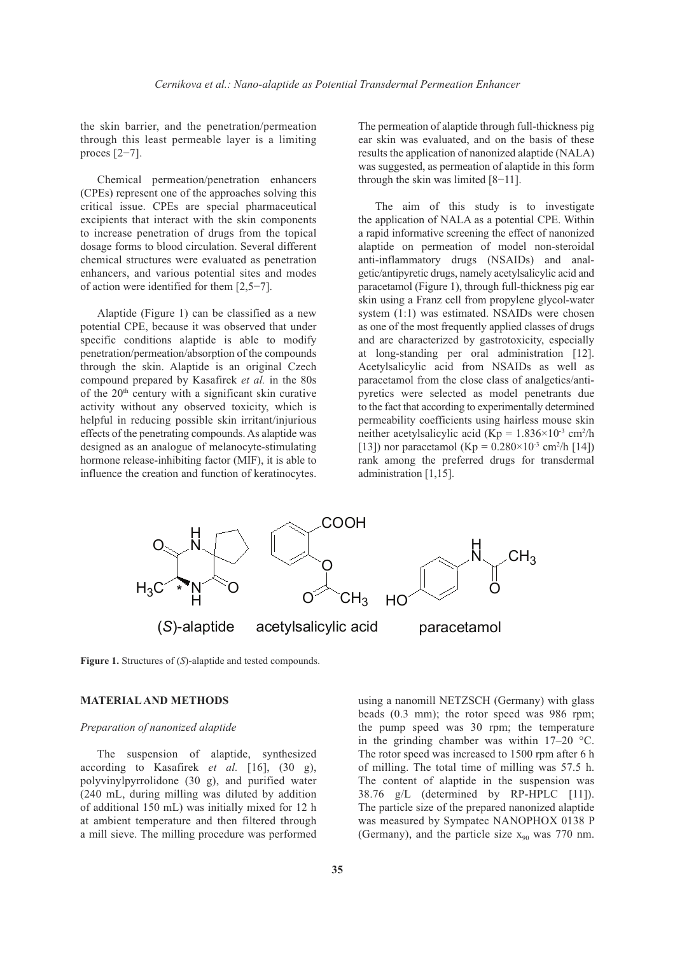the skin barrier, and the penetration/permeation through this least permeable layer is a limiting proces [2−7].

Chemical permeation/penetration enhancers (CPEs) represent one of the approaches solving this critical issue. CPEs are special pharmaceutical excipients that interact with the skin components to increase penetration of drugs from the topical dosage forms to blood circulation. Several different chemical structures were evaluated as penetration enhancers, and various potential sites and modes of action were identified for them [2,5−7].

Alaptide (Figure 1) can be classified as a new potential CPE, because it was observed that under specific conditions alaptide is able to modify penetration/permeation/absorption of the compounds through the skin. Alaptide is an original Czech compound prepared by Kasafirek *et al.* in the 80s of the  $20<sup>th</sup>$  century with a significant skin curative activity without any observed toxicity, which is helpful in reducing possible skin irritant/injurious effects of the penetrating compounds.As alaptide was designed as an analogue of melanocyte-stimulating hormone release-inhibiting factor (MIF), it is able to influence the creation and function of keratinocytes.

The permeation of alaptide through full-thickness pig ear skin was evaluated, and on the basis of these results the application of nanonized alaptide (NALA) was suggested, as permeation of alaptide in this form through the skin was limited [8−11].

The aim of this study is to investigate the application of NALA as a potential CPE. Within a rapid informative screening the effect of nanonized alaptide on permeation of model non-steroidal anti-inflammatory drugs (NSAIDs) and analgetic/antipyretic drugs, namely acetylsalicylic acid and paracetamol (Figure 1), through full-thickness pig ear skin using a Franz cell from propylene glycol-water system (1:1) was estimated. NSAIDs were chosen as one of the most frequently applied classes of drugs and are characterized by gastrotoxicity, especially at long-standing per oral administration [12]. Acetylsalicylic acid from NSAIDs as well as paracetamol from the close class of analgetics/antipyretics were selected as model penetrants due to the fact that according to experimentally determined permeability coefficients using hairless mouse skin neither acetylsalicylic acid (Kp =  $1.836 \times 10^{-3}$  cm<sup>2</sup>/h [13]) nor paracetamol (Kp =  $0.280 \times 10^{-3}$  cm<sup>2</sup>/h [14]) rank among the preferred drugs for transdermal administration [1,15].



**Figure 1.** Structures of (*S*)-alaptide and tested compounds.

## **MATERIALAND METHODS**

#### *Preparation of nanonized alaptide*

The suspension of alaptide, synthesized according to Kasafirek *et al.* [16], (30 g), polyvinylpyrrolidone (30 g), and purified water (240 mL, during milling was diluted by addition of additional 150 mL) was initially mixed for 12 h at ambient temperature and then filtered through a mill sieve. The milling procedure was performed

using a nanomill NETZSCH (Germany) with glass beads (0.3 mm); the rotor speed was 986 rpm; the pump speed was 30 rpm; the temperature in the grinding chamber was within 17–20 °C. The rotor speed was increased to 1500 rpm after 6 h of milling. The total time of milling was 57.5 h. The content of alaptide in the suspension was 38.76 g/L (determined by RP-HPLC [11]). The particle size of the prepared nanonized alaptide was measured by Sympatec NANOPHOX 0138 P (Germany), and the particle size  $x_{90}$  was 770 nm.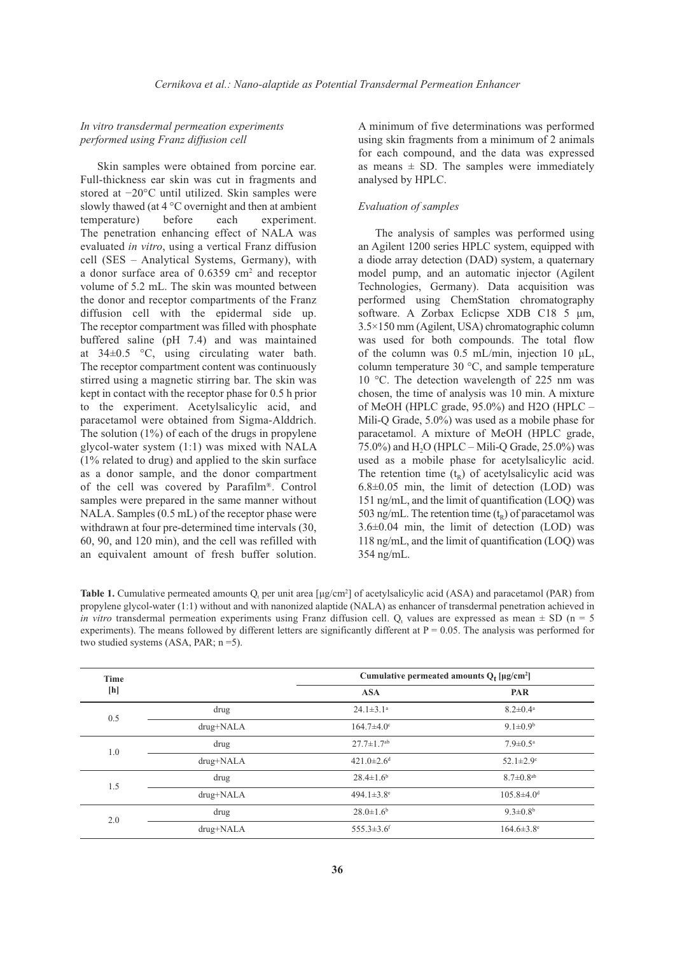## *In vitro transdermal permeation experiments performed using Franz diffusion cell*

Skin samples were obtained from porcine ear. Full-thickness ear skin was cut in fragments and stored at −20°C until utilized. Skin samples were slowly thawed (at 4 °C overnight and then at ambient temperature) before each experiment. The penetration enhancing effect of NALA was evaluated *in vitro*, using a vertical Franz diffusion cell (SES – Analytical Systems, Germany), with a donor surface area of 0.6359 cm2 and receptor volume of 5.2 mL. The skin was mounted between the donor and receptor compartments of the Franz diffusion cell with the epidermal side up. The receptor compartment was filled with phosphate buffered saline (pH 7.4) and was maintained at 34±0.5 °C, using circulating water bath. The receptor compartment content was continuously stirred using a magnetic stirring bar. The skin was kept in contact with the receptor phase for 0.5 h prior to the experiment. Acetylsalicylic acid, and paracetamol were obtained from Sigma-Alddrich. The solution  $(1\%)$  of each of the drugs in propylene glycol-water system (1:1) was mixed with NALA (1% related to drug) and applied to the skin surface as a donor sample, and the donor compartment of the cell was covered by Parafilm®. Control samples were prepared in the same manner without NALA. Samples (0.5 mL) of the receptor phase were withdrawn at four pre-determined time intervals (30, 60, 90, and 120 min), and the cell was refilled with an equivalent amount of fresh buffer solution.

A minimum of five determinations was performed using skin fragments from a minimum of 2 animals for each compound, and the data was expressed as means  $\pm$  SD. The samples were immediately analysed by HPLC.

## *Evaluation of samples*

The analysis of samples was performed using an Agilent 1200 series HPLC system, equipped with a diode array detection (DAD) system, a quaternary model pump, and an automatic injector (Agilent Technologies, Germany). Data acquisition was performed using ChemStation chromatography software. A Zorbax Eclicpse XDB C18 5  $\mu$ m, 3.5×150 mm (Agilent, USA) chromatographic column was used for both compounds. The total flow of the column was 0.5 mL/min, injection 10 µL, column temperature 30 °C, and sample temperature 10 °C. The detection wavelength of 225 nm was chosen, the time of analysis was 10 min. A mixture of MeOH (HPLC grade, 95.0%) and H2O (HPLC – Mili-Q Grade, 5.0%) was used as a mobile phase for paracetamol. A mixture of MeOH (HPLC grade, 75.0%) and  $H<sub>2</sub>O$  (HPLC – Mili-Q Grade, 25.0%) was used as a mobile phase for acetylsalicylic acid. The retention time  $(t_R)$  of acetylsalicylic acid was  $6.8\pm0.05$  min, the limit of detection (LOD) was 151 ng/mL, and the limit of quantification (LOQ) was 503 ng/mL. The retention time  $(t_R)$  of paracetamol was 3.6±0.04 min, the limit of detection (LOD) was 118 ng/mL, and the limit of quantification (LOQ) was 354 ng/mL.

| <b>Table 1.</b> Cumulative permeated amounts Q, per unit area $\lceil \mu g/cm^2 \rceil$ of acetylsalicylic acid (ASA) and paracetamol (PAR) from |
|---------------------------------------------------------------------------------------------------------------------------------------------------|
| propylene glycol-water (1:1) without and with nanonized alaptide (NALA) as enhancer of transdermal penetration achieved in                        |
| <i>in vitro</i> transdermal permeation experiments using Franz diffusion cell. O, values are expressed as mean $\pm$ SD (n = 5                    |
| experiments). The means followed by different letters are significantly different at $P = 0.05$ . The analysis was performed for                  |
| two studied systems (ASA, PAR; $n = 5$ ).                                                                                                         |

| Time<br>[h] |           | Cumulative permeated amounts $Q_t$ [µg/cm <sup>2</sup> ] |                              |
|-------------|-----------|----------------------------------------------------------|------------------------------|
|             |           | <b>ASA</b>                                               | <b>PAR</b>                   |
| 0.5         | drug      | $24.1 \pm 3.1$ <sup>a</sup>                              | $8.2 \pm 0.4^{\text{a}}$     |
|             | drug+NALA | $164.7 \pm 4.0$ °                                        | $9.1 \pm 0.9^b$              |
| 1.0         | drug      | $27.7 \pm 1.7$ <sup>ab</sup>                             | $7.9 \pm 0.5^{\text{a}}$     |
|             | drug+NALA | $421.0 \pm 2.6$ <sup>d</sup>                             | $52.1 \pm 2.9$ °             |
| 1.5         | drug      | $28.4 \pm 1.6^b$                                         | $8.7 \pm 0.8$ <sup>ab</sup>  |
|             | drug+NALA | 494.1 $\pm$ 3.8 $\text{e}$                               | $105.8 \pm 4.0$ <sup>d</sup> |
| 2.0         | drug      | $28.0 \pm 1.6^b$                                         | $9.3 \pm 0.8^b$              |
|             | drug+NALA | 555.3 $\pm$ 3.6 <sup>f</sup>                             | $164.6 \pm 3.8$ <sup>e</sup> |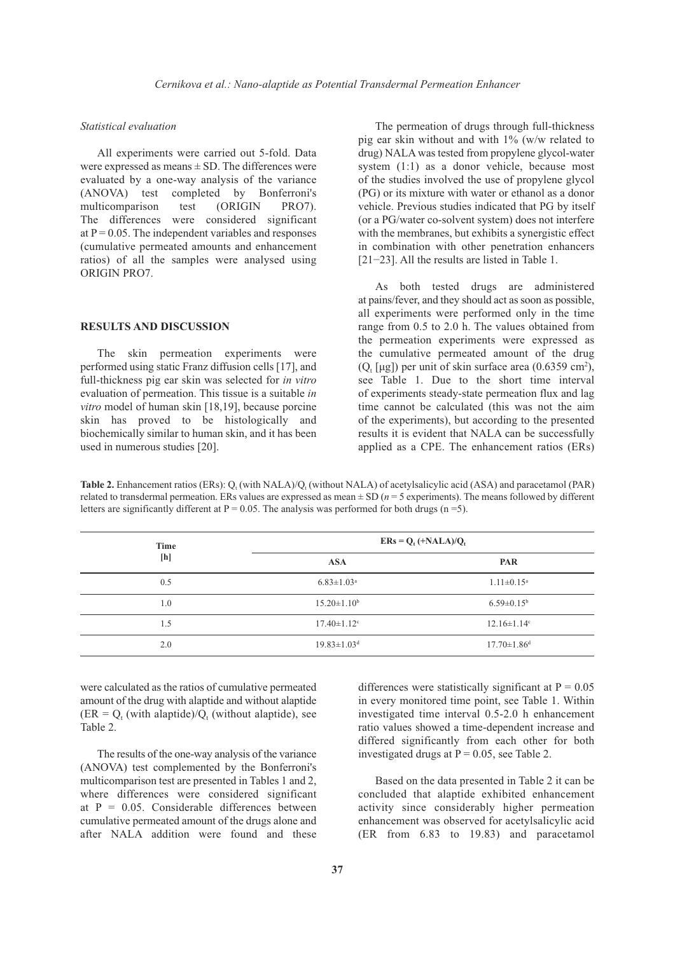#### *Statistical evaluation*

All experiments were carried out 5-fold. Data were expressed as means  $\pm$  SD. The differences were evaluated by a one-way analysis of the variance (ANOVA) test completed by Bonferroni's multicomparison test (ORIGIN PRO7). The differences were considered significant at  $P = 0.05$ . The independent variables and responses (cumulative permeated amounts and enhancement ratios) of all the samples were analysed using ORIGIN PRO7.

#### **RESULTS AND DISCUSSION**

The skin permeation experiments were performed using static Franz diffusion cells [17], and full-thickness pig ear skin was selected for *in vitro* evaluation of permeation. This tissue is a suitable *in vitro* model of human skin [18,19], because porcine skin has proved to be histologically and biochemically similar to human skin, and it has been used in numerous studies [20].

The permeation of drugs through full-thickness pig ear skin without and with 1% (w/w related to drug) NALA was tested from propylene glycol-water system (1:1) as a donor vehicle, because most of the studies involved the use of propylene glycol (PG) or its mixture with water or ethanol as a donor vehicle. Previous studies indicated that PG by itself (or a PG/water co-solvent system) does not interfere with the membranes, but exhibits a synergistic effect in combination with other penetration enhancers [21−23]. All the results are listed in Table 1.

As both tested drugs are administered at pains/fever, and they should act as soon as possible, all experiments were performed only in the time range from 0.5 to 2.0 h. The values obtained from the permeation experiments were expressed as the cumulative permeated amount of the drug  $(Q_t \text{[µg]})$  per unit of skin surface area  $(0.6359 \text{ cm}^2)$ , see Table 1. Due to the short time interval of experiments steady-state permeation flux and lag time cannot be calculated (this was not the aim of the experiments), but according to the presented results it is evident that NALA can be successfully applied as a CPE. The enhancement ratios (ERs)

**Table 2.** Enhancement ratios (ERs): Q<sub>t</sub> (with NALA)/Q<sub>t</sub> (without NALA) of acetylsalicylic acid (ASA) and paracetamol (PAR) related to transdermal permeation. ERs values are expressed as mean  $\pm$  SD ( $n = 5$  experiments). The means followed by different letters are significantly different at  $P = 0.05$ . The analysis was performed for both drugs (n = 5).

| Time | $ERs = Q_t (+ NALA)/Q_t$      |                               |  |
|------|-------------------------------|-------------------------------|--|
| [h]  | <b>ASA</b>                    | <b>PAR</b>                    |  |
| 0.5  | $6.83 \pm 1.03$ <sup>a</sup>  | $1.11 \pm 0.15^a$             |  |
| 1.0  | $15.20 \pm 1.10^b$            | $6.59 \pm 0.15^b$             |  |
| 1.5  | $17.40 \pm 1.12$ <sup>c</sup> | $12.16 \pm 1.14$ °            |  |
| 2.0  | $19.83 \pm 1.03$ <sup>d</sup> | $17.70 \pm 1.86$ <sup>d</sup> |  |

were calculated as the ratios of cumulative permeated amount of the drug with alaptide and without alaptide  $(ER = O<sub>t</sub>$  (with alaptide)/ $O<sub>t</sub>$  (without alaptide), see Table 2.

The results of the one-way analysis of the variance (ANOVA) test complemented by the Bonferroni's multicomparison test are presented in Tables 1 and 2, where differences were considered significant at  $P = 0.05$ . Considerable differences between cumulative permeated amount of the drugs alone and after NALA addition were found and these

differences were statistically significant at  $P = 0.05$ in every monitored time point, see Table 1. Within investigated time interval 0.5-2.0 h enhancement ratio values showed a time-dependent increase and differed significantly from each other for both investigated drugs at  $P = 0.05$ , see Table 2.

Based on the data presented in Table 2 it can be concluded that alaptide exhibited enhancement activity since considerably higher permeation enhancement was observed for acetylsalicylic acid (ER from 6.83 to 19.83) and paracetamol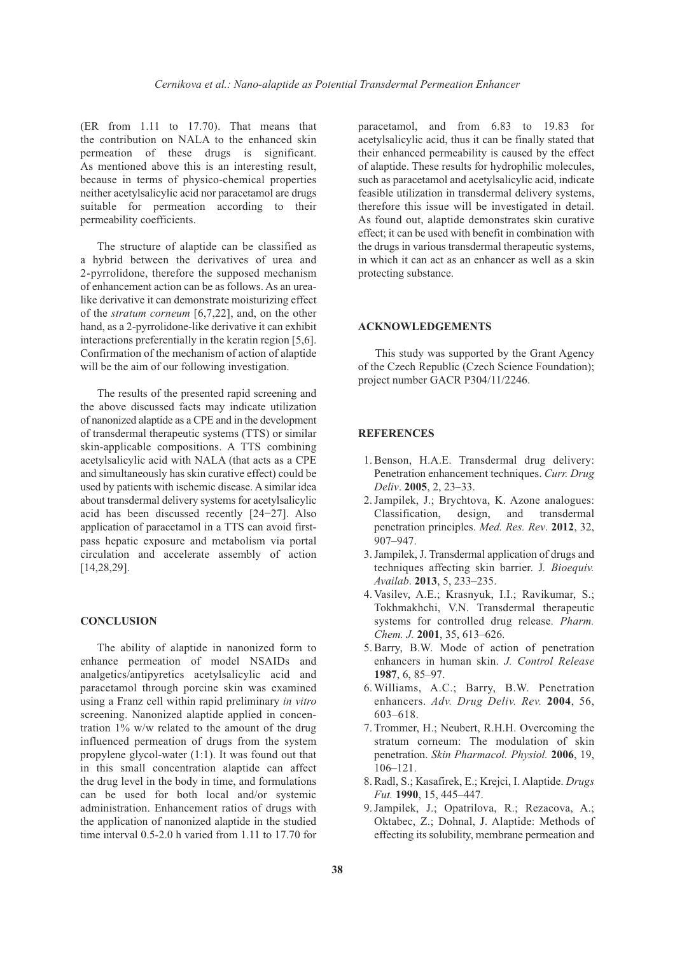(ER from 1.11 to 17.70). That means that the contribution on NALA to the enhanced skin permeation of these drugs is significant. As mentioned above this is an interesting result, because in terms of physico-chemical properties neither acetylsalicylic acid nor paracetamol are drugs suitable for permeation according to their permeability coefficients.

The structure of alaptide can be classified as a hybrid between the derivatives of urea and 2-pyrrolidone, therefore the supposed mechanism of enhancement action can be as follows. As an urealike derivative it can demonstrate moisturizing effect of the *stratum corneum* [6,7,22], and, on the other hand, as a 2-pyrrolidone-like derivative it can exhibit interactions preferentially in the keratin region [5,6]. Confirmation of the mechanism of action of alaptide will be the aim of our following investigation.

The results of the presented rapid screening and the above discussed facts may indicate utilization of nanonized alaptide as a CPE and in the development of transdermal therapeutic systems (TTS) or similar skin-applicable compositions. A TTS combining acetylsalicylic acid with NALA (that acts as a CPE and simultaneously has skin curative effect) could be used by patients with ischemic disease. A similar idea about transdermal delivery systems for acetylsalicylic acid has been discussed recently [24−27]. Also application of paracetamol in a TTS can avoid firstpass hepatic exposure and metabolism via portal circulation and accelerate assembly of action [14,28,29].

#### **CONCLUSION**

The ability of alaptide in nanonized form to enhance permeation of model NSAIDs and analgetics/antipyretics acetylsalicylic acid and paracetamol through porcine skin was examined using a Franz cell within rapid preliminary *in vitro* screening. Nanonized alaptide applied in concentration 1% w/w related to the amount of the drug influenced permeation of drugs from the system propylene glycol-water (1:1). It was found out that in this small concentration alaptide can affect the drug level in the body in time, and formulations can be used for both local and/or systemic administration. Enhancement ratios of drugs with the application of nanonized alaptide in the studied time interval 0.5-2.0 h varied from 1.11 to 17.70 for

paracetamol, and from 6.83 to 19.83 for acetylsalicylic acid, thus it can be finally stated that their enhanced permeability is caused by the effect of alaptide. These results for hydrophilic molecules, such as paracetamol and acetylsalicylic acid, indicate feasible utilization in transdermal delivery systems, therefore this issue will be investigated in detail. As found out, alaptide demonstrates skin curative effect; it can be used with benefit in combination with the drugs in various transdermal therapeutic systems, in which it can act as an enhancer as well as a skin protecting substance.

## **ACKNOWLEDGEMENTS**

This study was supported by the Grant Agency of the Czech Republic (Czech Science Foundation); project number GACR P304/11/2246.

## **REFERENCES**

- 1. Benson, H.A.E. Transdermal drug delivery: Penetration enhancement techniques. *Curr. Drug Deliv*. **2005**, 2, 23–33.
- 2.Jampilek, J.; Brychtova, K. Azone analogues: Classification, design, and transdermal penetration principles. *Med. Res. Rev*. **2012**, 32, 907–947.
- 3.Jampilek, J. Transdermal application of drugs and techniques affecting skin barrier. J*. Bioequiv. Availab*. **2013**, 5, 233–235.
- 4. Vasilev, A.E.; Krasnyuk, I.I.; Ravikumar, S.; Tokhmakhchi, V.N. Transdermal therapeutic systems for controlled drug release. *Pharm. Chem. J.* **2001**, 35, 613–626.
- 5. Barry, B.W. Mode of action of penetration enhancers in human skin. *J. Control Release* **1987**, 6, 85–97.
- 6. Williams, A.C.; Barry, B.W. Penetration enhancers. *Adv. Drug Deliv. Rev.* **2004**, 56, 603–618.
- 7. Trommer, H.; Neubert, R.H.H. Overcoming the stratum corneum: The modulation of skin penetration. *Skin Pharmacol. Physiol.* **2006**, 19, 106–121.
- 8. Radl, S.; Kasafirek, E.; Krejci, I. Alaptide. *Drugs Fut.* **1990**, 15, 445–447.
- 9.Jampilek, J.; Opatrilova, R.; Rezacova, A.; Oktabec, Z.; Dohnal, J. Alaptide: Methods of effecting its solubility, membrane permeation and